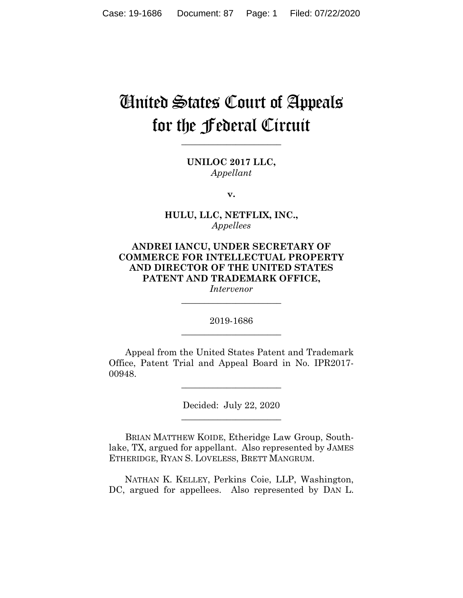# United States Court of Appeals for the Federal Circuit

**UNILOC 2017 LLC,** *Appellant*

**\_\_\_\_\_\_\_\_\_\_\_\_\_\_\_\_\_\_\_\_\_\_**

**v.**

**HULU, LLC, NETFLIX, INC.,** *Appellees*

# **ANDREI IANCU, UNDER SECRETARY OF COMMERCE FOR INTELLECTUAL PROPERTY AND DIRECTOR OF THE UNITED STATES PATENT AND TRADEMARK OFFICE,**

*Intervenor* **\_\_\_\_\_\_\_\_\_\_\_\_\_\_\_\_\_\_\_\_\_\_**

2019-1686 **\_\_\_\_\_\_\_\_\_\_\_\_\_\_\_\_\_\_\_\_\_\_**

Appeal from the United States Patent and Trademark Office, Patent Trial and Appeal Board in No. IPR2017- 00948.

> Decided: July 22, 2020  $\overline{\phantom{a}}$  , where  $\overline{\phantom{a}}$  , where  $\overline{\phantom{a}}$  , where  $\overline{\phantom{a}}$

> $\overline{\phantom{a}}$  , where  $\overline{\phantom{a}}$  , where  $\overline{\phantom{a}}$  , where  $\overline{\phantom{a}}$

BRIAN MATTHEW KOIDE, Etheridge Law Group, Southlake, TX, argued for appellant. Also represented by JAMES ETHERIDGE, RYAN S. LOVELESS, BRETT MANGRUM.

 NATHAN K. KELLEY, Perkins Coie, LLP, Washington, DC, argued for appellees. Also represented by DAN L.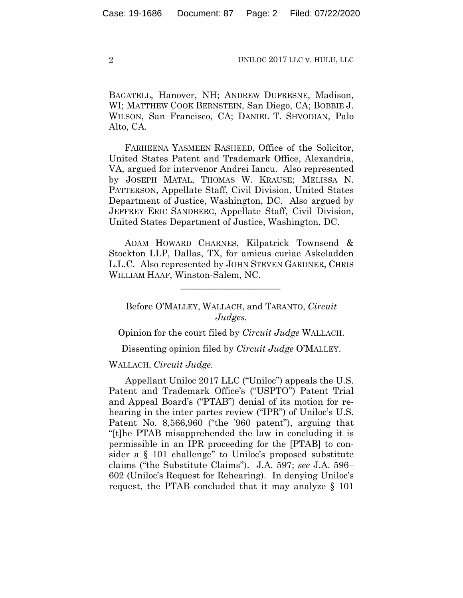BAGATELL, Hanover, NH; ANDREW DUFRESNE, Madison, WI; MATTHEW COOK BERNSTEIN, San Diego, CA; BOBBIE J. WILSON, San Francisco, CA; DANIEL T. SHVODIAN, Palo Alto, CA.

 FARHEENA YASMEEN RASHEED, Office of the Solicitor, United States Patent and Trademark Office, Alexandria, VA, argued for intervenor Andrei Iancu. Also represented by JOSEPH MATAL, THOMAS W. KRAUSE; MELISSA N. PATTERSON, Appellate Staff, Civil Division, United States Department of Justice, Washington, DC. Also argued by JEFFREY ERIC SANDBERG, Appellate Staff, Civil Division, United States Department of Justice, Washington, DC.

 ADAM HOWARD CHARNES, Kilpatrick Townsend & Stockton LLP, Dallas, TX, for amicus curiae Askeladden L.L.C. Also represented by JOHN STEVEN GARDNER, CHRIS WILLIAM HAAF, Winston-Salem, NC.

 $\mathcal{L}_\text{max}$  and  $\mathcal{L}_\text{max}$  and  $\mathcal{L}_\text{max}$  and  $\mathcal{L}_\text{max}$ 

Before O'MALLEY, WALLACH, and TARANTO, *Circuit Judges.*

Opinion for the court filed by *Circuit Judge* WALLACH.

Dissenting opinion filed by *Circuit Judge* O'MALLEY.

#### WALLACH, *Circuit Judge.*

Appellant Uniloc 2017 LLC ("Uniloc") appeals the U.S. Patent and Trademark Office's ("USPTO") Patent Trial and Appeal Board's ("PTAB") denial of its motion for rehearing in the inter partes review ("IPR") of Uniloc's U.S. Patent No. 8,566,960 ("the '960 patent"), arguing that "[t]he PTAB misapprehended the law in concluding it is permissible in an IPR proceeding for the [PTAB] to consider a § 101 challenge" to Uniloc's proposed substitute claims ("the Substitute Claims"). J.A. 597; *see* J.A. 596– 602 (Uniloc's Request for Rehearing). In denying Uniloc's request, the PTAB concluded that it may analyze § 101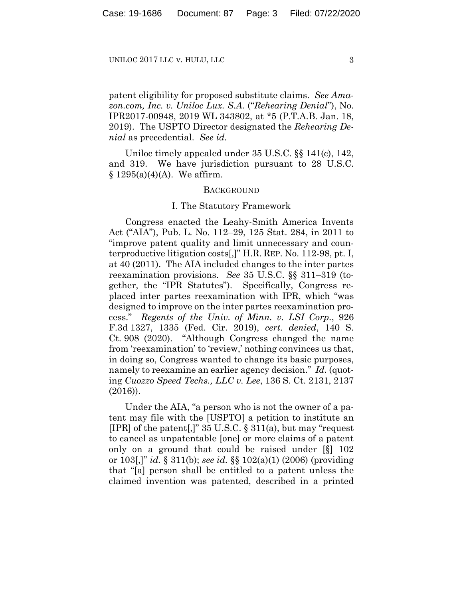patent eligibility for proposed substitute claims. *See Amazon.com, Inc. v. Uniloc Lux. S.A.* ("*Rehearing Denial*"), No. IPR2017-00948, 2019 WL 343802, at \*5 (P.T.A.B. Jan. 18, 2019). The USPTO Director designated the *Rehearing Denial* as precedential. *See id.* 

Uniloc timely appealed under 35 U.S.C. §§ 141(c), 142, and 319. We have jurisdiction pursuant to 28 U.S.C.  $§ 1295(a)(4)(A)$ . We affirm.

## **BACKGROUND**

#### I. The Statutory Framework

Congress enacted the Leahy-Smith America Invents Act ("AIA"), Pub. L. No. 112–29, 125 Stat. 284, in 2011 to "improve patent quality and limit unnecessary and counterproductive litigation costs[,]" H.R. REP. No. 112-98, pt. I, at 40 (2011). The AIA included changes to the inter partes reexamination provisions. *See* 35 U.S.C. §§ 311–319 (together, the "IPR Statutes"). Specifically, Congress replaced inter partes reexamination with IPR, which "was designed to improve on the inter partes reexamination process." *Regents of the Univ. of Minn. v. LSI Corp.*, 926 F.3d 1327, 1335 (Fed. Cir. 2019), *cert. denied*, 140 S. Ct. 908 (2020). "Although Congress changed the name from 'reexamination' to 'review,' nothing convinces us that, in doing so, Congress wanted to change its basic purposes, namely to reexamine an earlier agency decision." *Id.* (quoting *Cuozzo Speed Techs., LLC v. Lee*, 136 S. Ct. 2131, 2137 (2016)).

Under the AIA, "a person who is not the owner of a patent may file with the [USPTO] a petition to institute an [IPR] of the patent[,]"  $35 \text{ U.S.C.}$  §  $311(a)$ , but may "request" to cancel as unpatentable [one] or more claims of a patent only on a ground that could be raised under [§] 102 or 103[,]" *id.* § 311(b); *see id.* §§ 102(a)(1) (2006) (providing that "[a] person shall be entitled to a patent unless the claimed invention was patented, described in a printed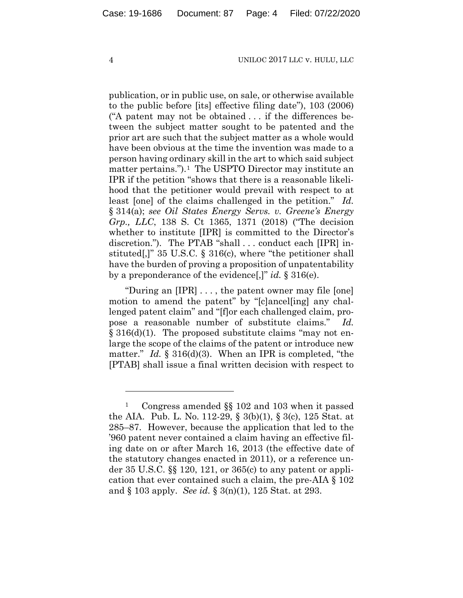publication, or in public use, on sale, or otherwise available to the public before [its] effective filing date"), 103 (2006) ("A patent may not be obtained . . . if the differences between the subject matter sought to be patented and the prior art are such that the subject matter as a whole would have been obvious at the time the invention was made to a person having ordinary skill in the art to which said subject matter pertains.").<sup>1</sup> The USPTO Director may institute an IPR if the petition "shows that there is a reasonable likelihood that the petitioner would prevail with respect to at least [one] of the claims challenged in the petition." *Id.* § 314(a); *see Oil States Energy Servs. v. Greene's Energy Grp., LLC*, 138 S. Ct 1365, 1371 (2018) ("The decision whether to institute [IPR] is committed to the Director's discretion."). The PTAB "shall . . . conduct each [IPR] instituted[,]" 35 U.S.C. § 316(c), where "the petitioner shall have the burden of proving a proposition of unpatentability by a preponderance of the evidence[,]" *id.* § 316(e).

"During an [IPR] . . . , the patent owner may file [one] motion to amend the patent" by "[c]ancel[ing] any challenged patent claim" and "[f]or each challenged claim, propose a reasonable number of substitute claims." *Id.*  $\S 316(d)(1)$ . The proposed substitute claims "may not enlarge the scope of the claims of the patent or introduce new matter." *Id.* § 316(d)(3). When an IPR is completed, "the [PTAB] shall issue a final written decision with respect to

<sup>1</sup> Congress amended §§ 102 and 103 when it passed the AIA. Pub. L. No. 112-29, § 3(b)(1), § 3(c), 125 Stat. at 285–87. However, because the application that led to the '960 patent never contained a claim having an effective filing date on or after March 16, 2013 (the effective date of the statutory changes enacted in 2011), or a reference under 35 U.S.C. §§ 120, 121, or 365(c) to any patent or application that ever contained such a claim, the pre-AIA § 102 and § 103 apply. *See id.* § 3(n)(1), 125 Stat. at 293.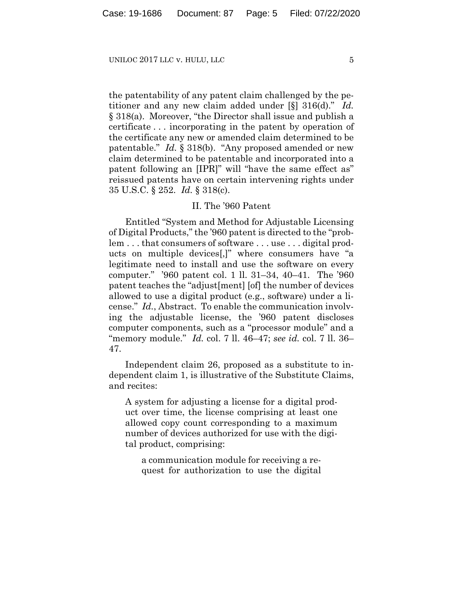the patentability of any patent claim challenged by the petitioner and any new claim added under [§] 316(d)." *Id.* § 318(a). Moreover, "the Director shall issue and publish a certificate . . . incorporating in the patent by operation of the certificate any new or amended claim determined to be patentable." *Id.* § 318(b). "Any proposed amended or new claim determined to be patentable and incorporated into a patent following an [IPR]" will "have the same effect as" reissued patents have on certain intervening rights under 35 U.S.C. § 252. *Id.* § 318(c).

## II. The '960 Patent

Entitled "System and Method for Adjustable Licensing of Digital Products," the '960 patent is directed to the "problem . . . that consumers of software . . . use . . . digital products on multiple devices[,]" where consumers have "a legitimate need to install and use the software on every computer." '960 patent col. 1 ll. 31–34, 40–41. The '960 patent teaches the "adjust[ment] [of] the number of devices allowed to use a digital product (e.g., software) under a license." *Id.*, Abstract. To enable the communication involving the adjustable license, the '960 patent discloses computer components, such as a "processor module" and a "memory module." *Id.* col. 7 ll. 46–47; *see id.* col. 7 ll. 36– 47.

Independent claim 26, proposed as a substitute to independent claim 1, is illustrative of the Substitute Claims, and recites:

A system for adjusting a license for a digital product over time, the license comprising at least one allowed copy count corresponding to a maximum number of devices authorized for use with the digital product, comprising:

a communication module for receiving a request for authorization to use the digital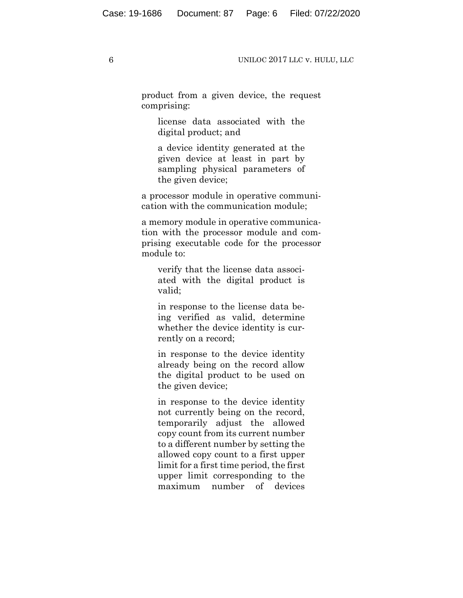product from a given device, the request comprising:

license data associated with the digital product; and

a device identity generated at the given device at least in part by sampling physical parameters of the given device;

a processor module in operative communication with the communication module;

a memory module in operative communication with the processor module and comprising executable code for the processor module to:

verify that the license data associated with the digital product is valid;

in response to the license data being verified as valid, determine whether the device identity is currently on a record;

in response to the device identity already being on the record allow the digital product to be used on the given device;

in response to the device identity not currently being on the record, temporarily adjust the allowed copy count from its current number to a different number by setting the allowed copy count to a first upper limit for a first time period, the first upper limit corresponding to the maximum number of devices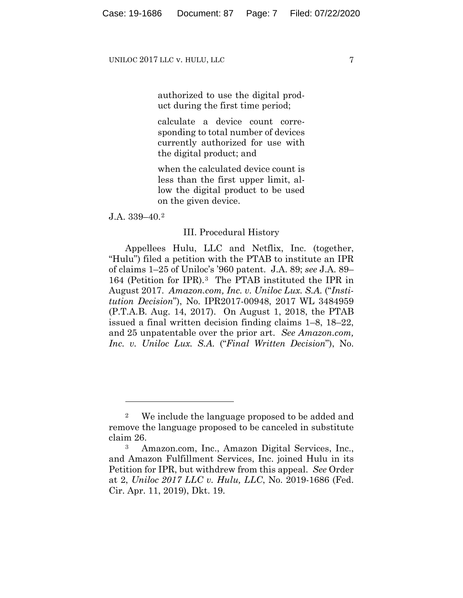authorized to use the digital product during the first time period;

calculate a device count corresponding to total number of devices currently authorized for use with the digital product; and

when the calculated device count is less than the first upper limit, allow the digital product to be used on the given device.

J.A. 339–40.2

### III. Procedural History

Appellees Hulu, LLC and Netflix, Inc. (together, "Hulu") filed a petition with the PTAB to institute an IPR of claims 1–25 of Uniloc's '960 patent. J.A. 89; *see* J.A. 89– 164 (Petition for IPR).3 The PTAB instituted the IPR in August 2017. *Amazon.com, Inc. v. Uniloc Lux. S.A.* ("*Institution Decision*"), No. IPR2017-00948, 2017 WL 3484959 (P.T.A.B. Aug. 14, 2017). On August 1, 2018, the PTAB issued a final written decision finding claims 1–8, 18–22, and 25 unpatentable over the prior art. *See Amazon.com, Inc. v. Uniloc Lux. S.A.* ("*Final Written Decision*"), No.

<sup>2</sup> We include the language proposed to be added and remove the language proposed to be canceled in substitute claim 26.

<sup>3</sup> Amazon.com, Inc., Amazon Digital Services, Inc., and Amazon Fulfillment Services, Inc. joined Hulu in its Petition for IPR, but withdrew from this appeal. *See* Order at 2, *Uniloc 2017 LLC v. Hulu, LLC*, No. 2019-1686 (Fed. Cir. Apr. 11, 2019), Dkt. 19.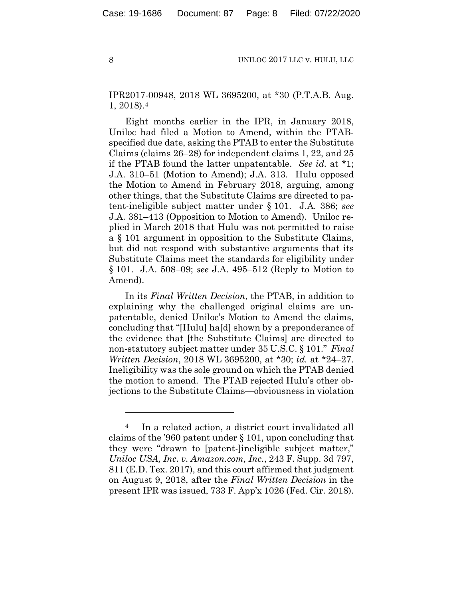IPR2017-00948, 2018 WL 3695200, at \*30 (P.T.A.B. Aug. 1, 2018).4

Eight months earlier in the IPR, in January 2018, Uniloc had filed a Motion to Amend, within the PTABspecified due date, asking the PTAB to enter the Substitute Claims (claims 26–28) for independent claims 1, 22, and 25 if the PTAB found the latter unpatentable. *See id.* at \*1; J.A. 310–51 (Motion to Amend); J.A. 313. Hulu opposed the Motion to Amend in February 2018, arguing, among other things, that the Substitute Claims are directed to patent-ineligible subject matter under § 101. J.A. 386; *see*  J.A. 381–413 (Opposition to Motion to Amend). Uniloc replied in March 2018 that Hulu was not permitted to raise a § 101 argument in opposition to the Substitute Claims, but did not respond with substantive arguments that its Substitute Claims meet the standards for eligibility under § 101. J.A. 508–09; *see* J.A. 495–512 (Reply to Motion to Amend).

In its *Final Written Decision*, the PTAB, in addition to explaining why the challenged original claims are unpatentable, denied Uniloc's Motion to Amend the claims, concluding that "[Hulu] ha[d] shown by a preponderance of the evidence that [the Substitute Claims] are directed to non-statutory subject matter under 35 U.S.C. § 101." *Final Written Decision*, 2018 WL 3695200, at \*30; *id.* at \*24–27. Ineligibility was the sole ground on which the PTAB denied the motion to amend. The PTAB rejected Hulu's other objections to the Substitute Claims—obviousness in violation

<sup>4</sup> In a related action, a district court invalidated all claims of the '960 patent under § 101, upon concluding that they were "drawn to [patent-]ineligible subject matter," *Uniloc USA, Inc. v. Amazon.com, Inc.*, 243 F. Supp. 3d 797, 811 (E.D. Tex. 2017), and this court affirmed that judgment on August 9, 2018, after the *Final Written Decision* in the present IPR was issued, 733 F. App'x 1026 (Fed. Cir. 2018).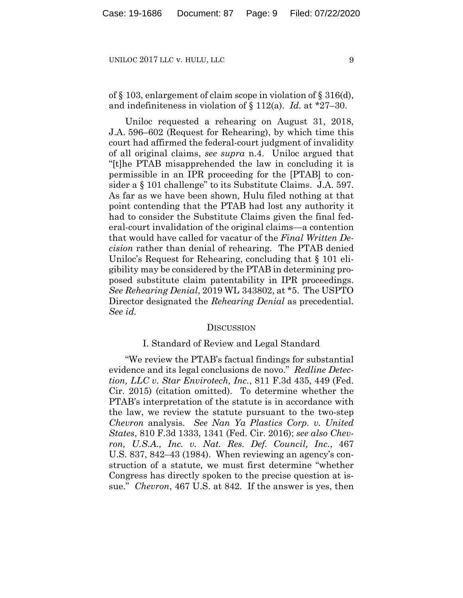of § 103, enlargement of claim scope in violation of § 316(d), and indefiniteness in violation of § 112(a). *Id.* at \*27–30.

Uniloc requested a rehearing on August 31, 2018, J.A. 596–602 (Request for Rehearing), by which time this court had affirmed the federal-court judgment of invalidity of all original claims, *see supra* n.4. Uniloc argued that "[t]he PTAB misapprehended the law in concluding it is permissible in an IPR proceeding for the [PTAB] to consider a § 101 challenge" to its Substitute Claims. J.A. 597. As far as we have been shown, Hulu filed nothing at that point contending that the PTAB had lost any authority it had to consider the Substitute Claims given the final federal-court invalidation of the original claims—a contention that would have called for vacatur of the *Final Written Decision* rather than denial of rehearing. The PTAB denied Uniloc's Request for Rehearing, concluding that § 101 eligibility may be considered by the PTAB in determining proposed substitute claim patentability in IPR proceedings. *See Rehearing Denial*, 2019 WL 343802, at \*5. The USPTO Director designated the *Rehearing Denial* as precedential. *See id.*

#### **DISCUSSION**

### I. Standard of Review and Legal Standard

"We review the PTAB's factual findings for substantial evidence and its legal conclusions de novo." *Redline Detection, LLC v. Star Envirotech, Inc.*, 811 F.3d 435, 449 (Fed. Cir. 2015) (citation omitted). To determine whether the PTAB's interpretation of the statute is in accordance with the law, we review the statute pursuant to the two-step *Chevron* analysis*. See Nan Ya Plastics Corp. v. United States*, 810 F.3d 1333, 1341 (Fed. Cir. 2016); *see also Chevron, U.S.A., Inc. v. Nat. Res. Def. Council, Inc.*, 467 U.S. 837, 842–43 (1984). When reviewing an agency's construction of a statute*,* we must first determine "whether Congress has directly spoken to the precise question at issue." *Chevron*, 467 U.S. at 842. If the answer is yes, then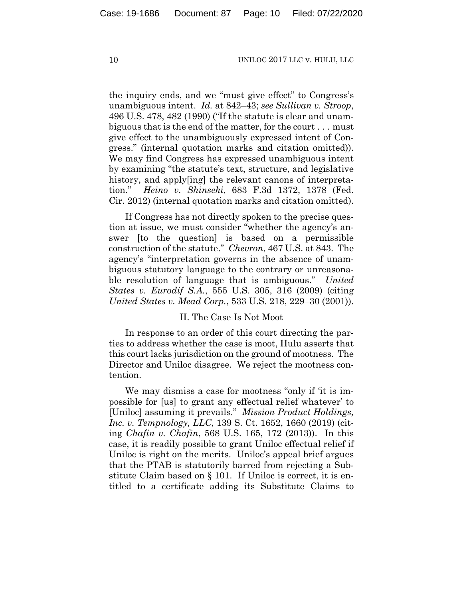the inquiry ends, and we "must give effect" to Congress's unambiguous intent. *Id.* at 842–43; *see Sullivan v. Stroop*, 496 U.S. 478, 482 (1990) ("If the statute is clear and unambiguous that is the end of the matter, for the court . . . must give effect to the unambiguously expressed intent of Congress." (internal quotation marks and citation omitted)). We may find Congress has expressed unambiguous intent by examining "the statute's text, structure, and legislative history, and apply [ing] the relevant canons of interpretation." *Heino v. Shinseki*, 683 F.3d 1372, 1378 (Fed. Cir. 2012) (internal quotation marks and citation omitted).

If Congress has not directly spoken to the precise question at issue, we must consider "whether the agency's answer [to the question] is based on a permissible construction of the statute." *Chevron*, 467 U.S. at 843. The agency's "interpretation governs in the absence of unambiguous statutory language to the contrary or unreasonable resolution of language that is ambiguous." *United States v. Eurodif S.A.*, 555 U.S. 305, 316 (2009) (citing *United States v. Mead Corp.*, 533 U.S. 218, 229–30 (2001)).

### II. The Case Is Not Moot

In response to an order of this court directing the parties to address whether the case is moot, Hulu asserts that this court lacks jurisdiction on the ground of mootness. The Director and Uniloc disagree. We reject the mootness contention.

We may dismiss a case for mootness "only if 'it is impossible for [us] to grant any effectual relief whatever' to [Uniloc] assuming it prevails." *Mission Product Holdings, Inc. v. Tempnology, LLC*, 139 S. Ct. 1652, 1660 (2019) (citing *Chafin v. Chafin*, 568 U.S. 165, 172 (2013)). In this case, it is readily possible to grant Uniloc effectual relief if Uniloc is right on the merits. Uniloc's appeal brief argues that the PTAB is statutorily barred from rejecting a Substitute Claim based on § 101. If Uniloc is correct, it is entitled to a certificate adding its Substitute Claims to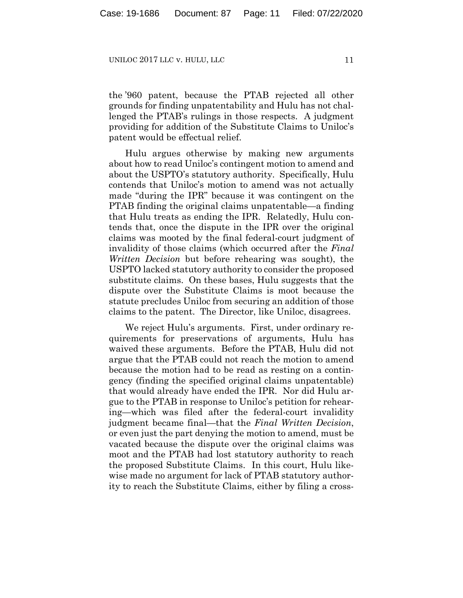the '960 patent, because the PTAB rejected all other grounds for finding unpatentability and Hulu has not challenged the PTAB's rulings in those respects. A judgment providing for addition of the Substitute Claims to Uniloc's patent would be effectual relief.

Hulu argues otherwise by making new arguments about how to read Uniloc's contingent motion to amend and about the USPTO's statutory authority. Specifically, Hulu contends that Uniloc's motion to amend was not actually made "during the IPR" because it was contingent on the PTAB finding the original claims unpatentable—a finding that Hulu treats as ending the IPR. Relatedly, Hulu contends that, once the dispute in the IPR over the original claims was mooted by the final federal-court judgment of invalidity of those claims (which occurred after the *Final Written Decision* but before rehearing was sought), the USPTO lacked statutory authority to consider the proposed substitute claims. On these bases, Hulu suggests that the dispute over the Substitute Claims is moot because the statute precludes Uniloc from securing an addition of those claims to the patent. The Director, like Uniloc, disagrees.

We reject Hulu's arguments. First, under ordinary requirements for preservations of arguments, Hulu has waived these arguments. Before the PTAB, Hulu did not argue that the PTAB could not reach the motion to amend because the motion had to be read as resting on a contingency (finding the specified original claims unpatentable) that would already have ended the IPR. Nor did Hulu argue to the PTAB in response to Uniloc's petition for rehearing—which was filed after the federal-court invalidity judgment became final—that the *Final Written Decision*, or even just the part denying the motion to amend, must be vacated because the dispute over the original claims was moot and the PTAB had lost statutory authority to reach the proposed Substitute Claims. In this court, Hulu likewise made no argument for lack of PTAB statutory authority to reach the Substitute Claims, either by filing a cross-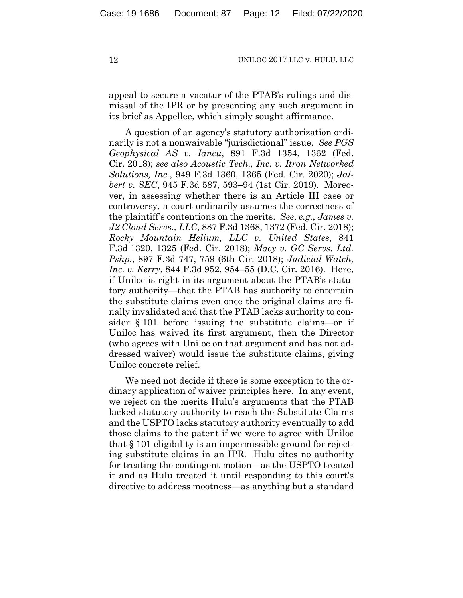appeal to secure a vacatur of the PTAB's rulings and dismissal of the IPR or by presenting any such argument in its brief as Appellee, which simply sought affirmance.

A question of an agency's statutory authorization ordinarily is not a nonwaivable "jurisdictional" issue. *See PGS Geophysical AS v. Iancu*, 891 F.3d 1354, 1362 (Fed. Cir. 2018); *see also Acoustic Tech., Inc. v. Itron Networked Solutions, Inc.*, 949 F.3d 1360, 1365 (Fed. Cir. 2020); *Jalbert v. SEC*, 945 F.3d 587, 593–94 (1st Cir. 2019). Moreover, in assessing whether there is an Article III case or controversy, a court ordinarily assumes the correctness of the plaintiff's contentions on the merits. *See*, *e.g.*, *James v. J2 Cloud Servs., LLC*, 887 F.3d 1368, 1372 (Fed. Cir. 2018); *Rocky Mountain Helium, LLC v. United States*, 841 F.3d 1320, 1325 (Fed. Cir. 2018); *Macy v. GC Servs. Ltd. Pshp.*, 897 F.3d 747, 759 (6th Cir. 2018); *Judicial Watch, Inc. v. Kerry*, 844 F.3d 952, 954–55 (D.C. Cir. 2016). Here, if Uniloc is right in its argument about the PTAB's statutory authority—that the PTAB has authority to entertain the substitute claims even once the original claims are finally invalidated and that the PTAB lacks authority to consider § 101 before issuing the substitute claims—or if Uniloc has waived its first argument, then the Director (who agrees with Uniloc on that argument and has not addressed waiver) would issue the substitute claims, giving Uniloc concrete relief.

We need not decide if there is some exception to the ordinary application of waiver principles here. In any event, we reject on the merits Hulu's arguments that the PTAB lacked statutory authority to reach the Substitute Claims and the USPTO lacks statutory authority eventually to add those claims to the patent if we were to agree with Uniloc that § 101 eligibility is an impermissible ground for rejecting substitute claims in an IPR. Hulu cites no authority for treating the contingent motion—as the USPTO treated it and as Hulu treated it until responding to this court's directive to address mootness—as anything but a standard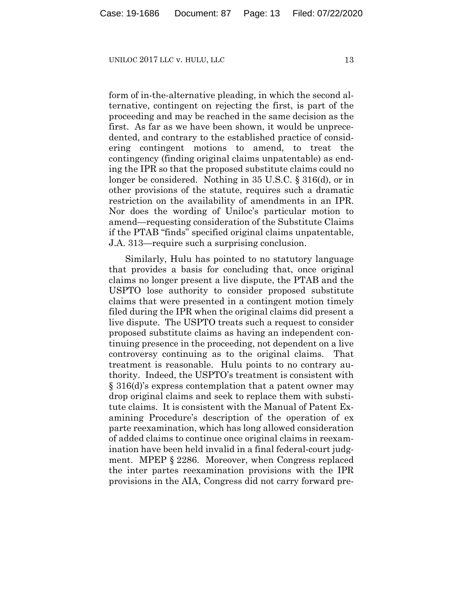form of in-the-alternative pleading, in which the second alternative, contingent on rejecting the first, is part of the proceeding and may be reached in the same decision as the first. As far as we have been shown, it would be unprecedented, and contrary to the established practice of considering contingent motions to amend, to treat the contingency (finding original claims unpatentable) as ending the IPR so that the proposed substitute claims could no longer be considered. Nothing in 35 U.S.C. § 316(d), or in other provisions of the statute, requires such a dramatic restriction on the availability of amendments in an IPR. Nor does the wording of Uniloc's particular motion to amend—requesting consideration of the Substitute Claims if the PTAB "finds" specified original claims unpatentable, J.A. 313—require such a surprising conclusion.

Similarly, Hulu has pointed to no statutory language that provides a basis for concluding that, once original claims no longer present a live dispute, the PTAB and the USPTO lose authority to consider proposed substitute claims that were presented in a contingent motion timely filed during the IPR when the original claims did present a live dispute. The USPTO treats such a request to consider proposed substitute claims as having an independent continuing presence in the proceeding, not dependent on a live controversy continuing as to the original claims. That treatment is reasonable. Hulu points to no contrary authority. Indeed, the USPTO's treatment is consistent with § 316(d)'s express contemplation that a patent owner may drop original claims and seek to replace them with substitute claims. It is consistent with the Manual of Patent Examining Procedure's description of the operation of ex parte reexamination, which has long allowed consideration of added claims to continue once original claims in reexamination have been held invalid in a final federal-court judgment. MPEP § 2286. Moreover, when Congress replaced the inter partes reexamination provisions with the IPR provisions in the AIA, Congress did not carry forward pre-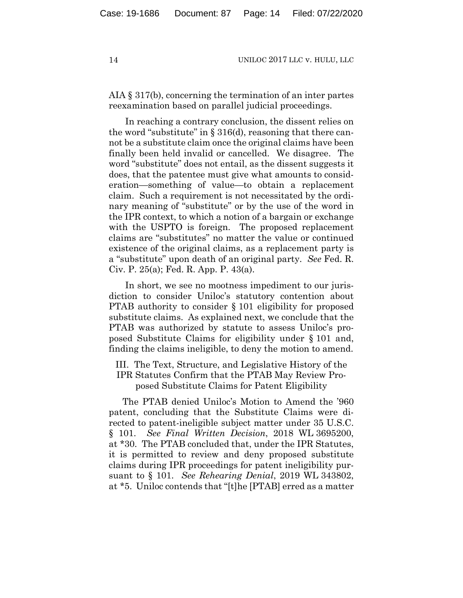AIA § 317(b), concerning the termination of an inter partes reexamination based on parallel judicial proceedings.

In reaching a contrary conclusion, the dissent relies on the word "substitute" in  $\S 316(d)$ , reasoning that there cannot be a substitute claim once the original claims have been finally been held invalid or cancelled. We disagree. The word "substitute" does not entail, as the dissent suggests it does, that the patentee must give what amounts to consideration—something of value—to obtain a replacement claim. Such a requirement is not necessitated by the ordinary meaning of "substitute" or by the use of the word in the IPR context, to which a notion of a bargain or exchange with the USPTO is foreign. The proposed replacement claims are "substitutes" no matter the value or continued existence of the original claims, as a replacement party is a "substitute" upon death of an original party. *See* Fed. R. Civ. P. 25(a); Fed. R. App. P. 43(a).

In short, we see no mootness impediment to our jurisdiction to consider Uniloc's statutory contention about PTAB authority to consider § 101 eligibility for proposed substitute claims. As explained next, we conclude that the PTAB was authorized by statute to assess Uniloc's proposed Substitute Claims for eligibility under § 101 and, finding the claims ineligible, to deny the motion to amend.

III. The Text, Structure, and Legislative History of the IPR Statutes Confirm that the PTAB May Review Proposed Substitute Claims for Patent Eligibility

The PTAB denied Uniloc's Motion to Amend the '960 patent, concluding that the Substitute Claims were directed to patent-ineligible subject matter under 35 U.S.C. § 101. *See Final Written Decision*, 2018 WL 3695200, at \*30. The PTAB concluded that, under the IPR Statutes, it is permitted to review and deny proposed substitute claims during IPR proceedings for patent ineligibility pursuant to § 101. *See Rehearing Denial*, 2019 WL 343802, at \*5. Uniloc contends that "[t]he [PTAB] erred as a matter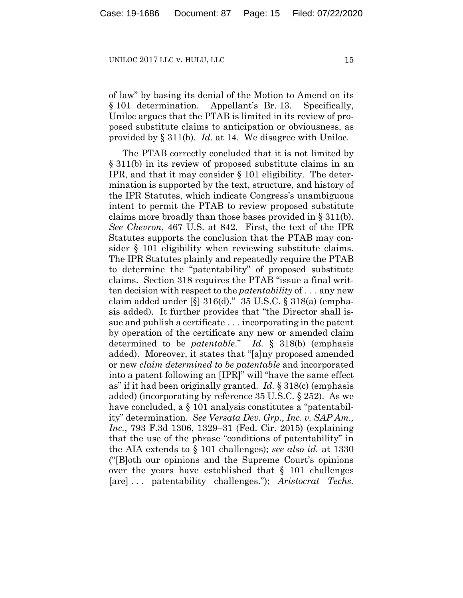of law" by basing its denial of the Motion to Amend on its § 101 determination. Appellant's Br. 13. Specifically, Uniloc argues that the PTAB is limited in its review of proposed substitute claims to anticipation or obviousness, as provided by § 311(b). *Id.* at 14. We disagree with Uniloc.

The PTAB correctly concluded that it is not limited by § 311(b) in its review of proposed substitute claims in an IPR, and that it may consider § 101 eligibility. The determination is supported by the text, structure, and history of the IPR Statutes, which indicate Congress's unambiguous intent to permit the PTAB to review proposed substitute claims more broadly than those bases provided in § 311(b). *See Chevron*, 467 U.S. at 842. First, the text of the IPR Statutes supports the conclusion that the PTAB may consider § 101 eligibility when reviewing substitute claims. The IPR Statutes plainly and repeatedly require the PTAB to determine the "patentability" of proposed substitute claims. Section 318 requires the PTAB "issue a final written decision with respect to the *patentability* of . . . any new claim added under [§] 316(d)." 35 U.S.C. § 318(a) (emphasis added). It further provides that "the Director shall issue and publish a certificate . . . incorporating in the patent by operation of the certificate any new or amended claim determined to be *patentable*." *Id.* § 318(b) (emphasis added). Moreover, it states that "[a]ny proposed amended or new *claim determined to be patentable* and incorporated into a patent following an [IPR]" will "have the same effect as" if it had been originally granted. *Id.* § 318(c) (emphasis added) (incorporating by reference 35 U.S.C. § 252). As we have concluded, a § 101 analysis constitutes a "patentability" determination. *See Versata Dev. Grp., Inc. v. SAP Am., Inc.*, 793 F.3d 1306, 1329–31 (Fed. Cir. 2015) (explaining that the use of the phrase "conditions of patentability" in the AIA extends to § 101 challenges); *see also id.* at 1330 ("[B]oth our opinions and the Supreme Court's opinions over the years have established that § 101 challenges [are] . . . patentability challenges."); *Aristocrat Techs.*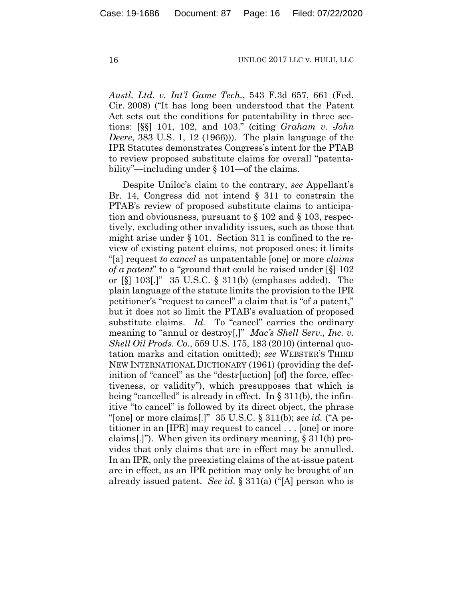*Austl. Ltd. v. Int'l Game Tech.*, 543 F.3d 657, 661 (Fed. Cir. 2008) ("It has long been understood that the Patent Act sets out the conditions for patentability in three sections: [§§] 101, 102, and 103." (citing *Graham v. John Deere*, 383 U.S. 1, 12 (1966))). The plain language of the IPR Statutes demonstrates Congress's intent for the PTAB to review proposed substitute claims for overall "patentability"—including under § 101—of the claims.

Despite Uniloc's claim to the contrary, *see* Appellant's Br. 14, Congress did not intend § 311 to constrain the PTAB's review of proposed substitute claims to anticipation and obviousness, pursuant to § 102 and § 103, respectively, excluding other invalidity issues, such as those that might arise under § 101. Section 311 is confined to the review of existing patent claims, not proposed ones: it limits "[a] request *to cancel* as unpatentable [one] or more *claims of a patent*" to a "ground that could be raised under [§] 102 or [§] 103[.]" 35 U.S.C. § 311(b) (emphases added). The plain language of the statute limits the provision to the IPR petitioner's "request to cancel" a claim that is "of a patent," but it does not so limit the PTAB's evaluation of proposed substitute claims. *Id.* To "cancel" carries the ordinary meaning to "annul or destroy[,]" *Mac's Shell Serv., Inc. v. Shell Oil Prods. Co.*, 559 U.S. 175, 183 (2010) (internal quotation marks and citation omitted); *see* WEBSTER'S THIRD NEW INTERNATIONAL DICTIONARY (1961) (providing the definition of "cancel" as the "destr[uction] [of] the force, effectiveness, or validity"), which presupposes that which is being "cancelled" is already in effect. In § 311(b), the infinitive "to cancel" is followed by its direct object, the phrase "[one] or more claims[.]" 35 U.S.C. § 311(b); *see id.* ("A petitioner in an [IPR] may request to cancel . . . [one] or more claims[.]"). When given its ordinary meaning, § 311(b) provides that only claims that are in effect may be annulled. In an IPR, only the preexisting claims of the at-issue patent are in effect, as an IPR petition may only be brought of an already issued patent. *See id.* § 311(a) ("[A] person who is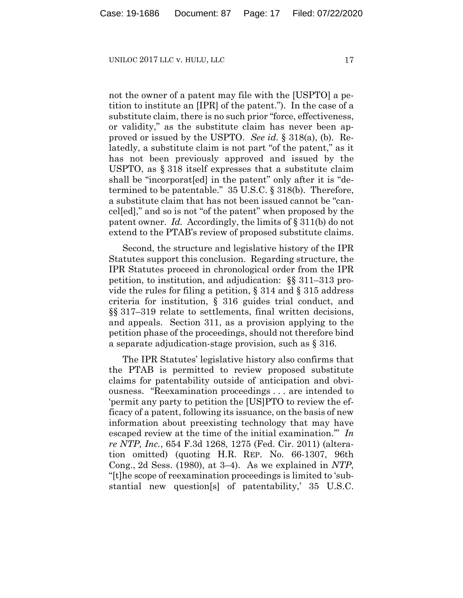not the owner of a patent may file with the [USPTO] a petition to institute an [IPR] of the patent."). In the case of a substitute claim, there is no such prior "force, effectiveness, or validity," as the substitute claim has never been approved or issued by the USPTO. *See id.* § 318(a), (b). Relatedly, a substitute claim is not part "of the patent," as it has not been previously approved and issued by the USPTO, as § 318 itself expresses that a substitute claim shall be "incorporat[ed] in the patent" only after it is "determined to be patentable." 35 U.S.C. § 318(b). Therefore, a substitute claim that has not been issued cannot be "cancel[ed]," and so is not "of the patent" when proposed by the patent owner. *Id.* Accordingly, the limits of § 311(b) do not extend to the PTAB's review of proposed substitute claims.

Second, the structure and legislative history of the IPR Statutes support this conclusion. Regarding structure, the IPR Statutes proceed in chronological order from the IPR petition, to institution, and adjudication: §§ 311–313 provide the rules for filing a petition, § 314 and § 315 address criteria for institution, § 316 guides trial conduct, and §§ 317–319 relate to settlements, final written decisions, and appeals. Section 311, as a provision applying to the petition phase of the proceedings, should not therefore bind a separate adjudication-stage provision, such as § 316.

The IPR Statutes' legislative history also confirms that the PTAB is permitted to review proposed substitute claims for patentability outside of anticipation and obviousness. "Reexamination proceedings . . . are intended to 'permit any party to petition the [US]PTO to review the efficacy of a patent, following its issuance, on the basis of new information about preexisting technology that may have escaped review at the time of the initial examination.'" *In re NTP, Inc.*, 654 F.3d 1268, 1275 (Fed. Cir. 2011) (alteration omitted) (quoting H.R. REP. No. 66-1307, 96th Cong., 2d Sess. (1980), at 3–4). As we explained in *NTP*, "[t]he scope of reexamination proceedings is limited to 'substantial new question[s] of patentability,' 35 U.S.C.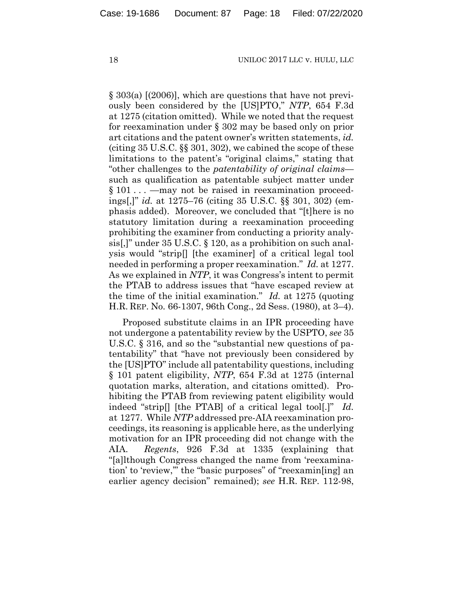§ 303(a) [(2006)], which are questions that have not previously been considered by the [US]PTO," *NTP*, 654 F.3d at 1275 (citation omitted). While we noted that the request for reexamination under § 302 may be based only on prior art citations and the patent owner's written statements, *id.* (citing 35 U.S.C. §§ 301, 302), we cabined the scope of these limitations to the patent's "original claims," stating that "other challenges to the *patentability of original claims* such as qualification as patentable subject matter under § 101... — may not be raised in reexamination proceedings[,]" *id.* at 1275–76 (citing 35 U.S.C. §§ 301, 302) (emphasis added). Moreover, we concluded that "[t]here is no statutory limitation during a reexamination proceeding prohibiting the examiner from conducting a priority analysis[,]" under 35 U.S.C. § 120, as a prohibition on such analysis would "strip[] [the examiner] of a critical legal tool needed in performing a proper reexamination." *Id.* at 1277. As we explained in *NTP*, it was Congress's intent to permit the PTAB to address issues that "have escaped review at the time of the initial examination." *Id.* at 1275 (quoting H.R. REP. No. 66-1307, 96th Cong., 2d Sess. (1980), at 3–4).

Proposed substitute claims in an IPR proceeding have not undergone a patentability review by the USPTO, *see* 35 U.S.C. § 316, and so the "substantial new questions of patentability" that "have not previously been considered by the [US]PTO" include all patentability questions, including § 101 patent eligibility, *NTP*, 654 F.3d at 1275 (internal quotation marks, alteration, and citations omitted). Prohibiting the PTAB from reviewing patent eligibility would indeed "strip[] [the PTAB] of a critical legal tool[.]" *Id.* at 1277. While *NTP* addressed pre-AIA reexamination proceedings, its reasoning is applicable here, as the underlying motivation for an IPR proceeding did not change with the AIA. *Regents*, 926 F.3d at 1335 (explaining that "[a]lthough Congress changed the name from 'reexamination' to 'review,'" the "basic purposes" of "reexamin[ing] an earlier agency decision" remained); *see* H.R. REP. 112-98,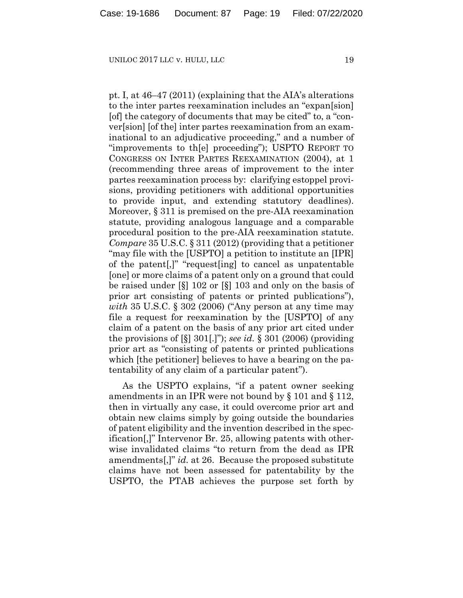pt. I, at 46–47 (2011) (explaining that the AIA's alterations to the inter partes reexamination includes an "expan[sion] [of] the category of documents that may be cited" to, a "conver[sion] [of the] inter partes reexamination from an examinational to an adjudicative proceeding," and a number of "improvements to th[e] proceeding"); USPTO REPORT TO CONGRESS ON INTER PARTES REEXAMINATION (2004), at 1 (recommending three areas of improvement to the inter partes reexamination process by: clarifying estoppel provisions, providing petitioners with additional opportunities to provide input, and extending statutory deadlines). Moreover,  $\S 311$  is premised on the pre-AIA reexamination statute, providing analogous language and a comparable procedural position to the pre-AIA reexamination statute. *Compare* 35 U.S.C. § 311 (2012) (providing that a petitioner "may file with the [USPTO] a petition to institute an [IPR] of the patent[,]" "request[ing] to cancel as unpatentable [one] or more claims of a patent only on a ground that could be raised under [§] 102 or [§] 103 and only on the basis of prior art consisting of patents or printed publications"), *with* 35 U.S.C. § 302 (2006) ("Any person at any time may file a request for reexamination by the [USPTO] of any claim of a patent on the basis of any prior art cited under the provisions of [§] 301[.]"); *see id.* § 301 (2006) (providing prior art as "consisting of patents or printed publications which [the petitioner] believes to have a bearing on the patentability of any claim of a particular patent").

As the USPTO explains, "if a patent owner seeking amendments in an IPR were not bound by § 101 and § 112, then in virtually any case, it could overcome prior art and obtain new claims simply by going outside the boundaries of patent eligibility and the invention described in the specification[,]" Intervenor Br. 25, allowing patents with otherwise invalidated claims "to return from the dead as IPR amendments[,]" *id.* at 26. Because the proposed substitute claims have not been assessed for patentability by the USPTO, the PTAB achieves the purpose set forth by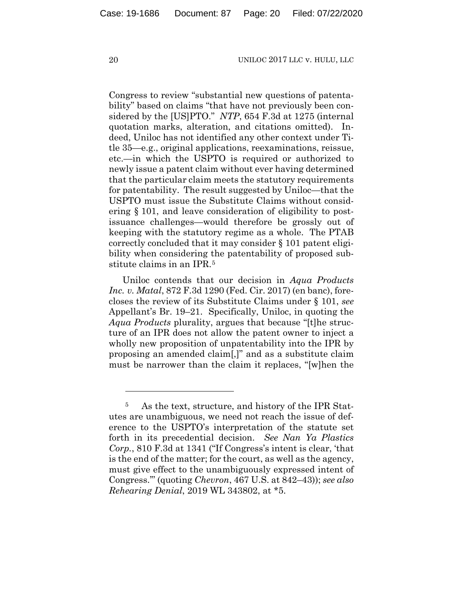Congress to review "substantial new questions of patentability" based on claims "that have not previously been considered by the [US]PTO." *NTP*, 654 F.3d at 1275 (internal quotation marks, alteration, and citations omitted). Indeed, Uniloc has not identified any other context under Title 35—e.g., original applications, reexaminations, reissue, etc.—in which the USPTO is required or authorized to newly issue a patent claim without ever having determined that the particular claim meets the statutory requirements for patentability. The result suggested by Uniloc—that the USPTO must issue the Substitute Claims without considering § 101, and leave consideration of eligibility to postissuance challenges—would therefore be grossly out of keeping with the statutory regime as a whole. The PTAB correctly concluded that it may consider § 101 patent eligibility when considering the patentability of proposed substitute claims in an IPR.5

Uniloc contends that our decision in *Aqua Products Inc. v. Matal*, 872 F.3d 1290 (Fed. Cir. 2017) (en banc), forecloses the review of its Substitute Claims under § 101, *see* Appellant's Br. 19–21. Specifically, Uniloc, in quoting the *Aqua Products* plurality, argues that because "[t]he structure of an IPR does not allow the patent owner to inject a wholly new proposition of unpatentability into the IPR by proposing an amended claim[,]" and as a substitute claim must be narrower than the claim it replaces, "[w]hen the

<sup>5</sup> As the text, structure, and history of the IPR Statutes are unambiguous, we need not reach the issue of deference to the USPTO's interpretation of the statute set forth in its precedential decision. *See Nan Ya Plastics Corp.*, 810 F.3d at 1341 ("If Congress's intent is clear, 'that is the end of the matter; for the court, as well as the agency, must give effect to the unambiguously expressed intent of Congress.'" (quoting *Chevron*, 467 U.S. at 842–43)); *see also Rehearing Denial*, 2019 WL 343802, at \*5.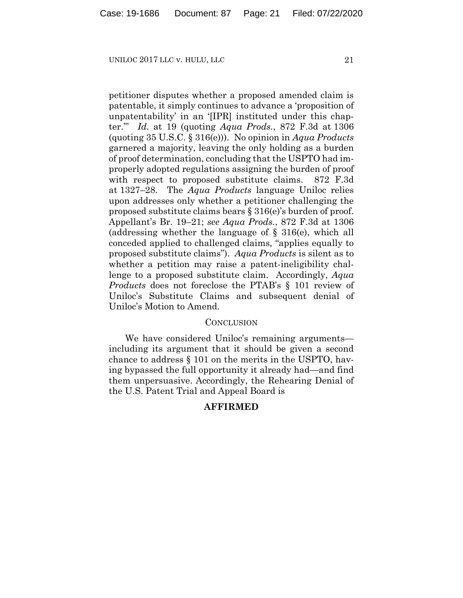petitioner disputes whether a proposed amended claim is patentable, it simply continues to advance a 'proposition of unpatentability' in an '[IPR] instituted under this chapter.'" *Id.* at 19 (quoting *Aqua Prods.*, 872 F.3d at 1306 (quoting 35 U.S.C. § 316(e))). No opinion in *Aqua Products* garnered a majority, leaving the only holding as a burden of proof determination, concluding that the USPTO had improperly adopted regulations assigning the burden of proof with respect to proposed substitute claims. 872 F.3d at 1327–28. The *Aqua Products* language Uniloc relies upon addresses only whether a petitioner challenging the proposed substitute claims bears § 316(e)'s burden of proof. Appellant's Br. 19–21; *see Aqua Prods.*, 872 F.3d at 1306 (addressing whether the language of  $\S$  316(e), which all conceded applied to challenged claims, "applies equally to proposed substitute claims"). *Aqua Products* is silent as to whether a petition may raise a patent-ineligibility challenge to a proposed substitute claim. Accordingly, *Aqua Products* does not foreclose the PTAB's § 101 review of Uniloc's Substitute Claims and subsequent denial of Uniloc's Motion to Amend.

#### **CONCLUSION**

We have considered Uniloc's remaining arguments including its argument that it should be given a second chance to address § 101 on the merits in the USPTO, having bypassed the full opportunity it already had—and find them unpersuasive. Accordingly, the Rehearing Denial of the U.S. Patent Trial and Appeal Board is

# **AFFIRMED**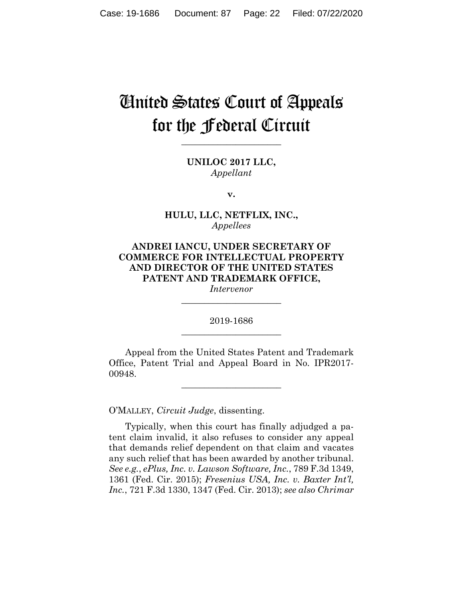# United States Court of Appeals for the Federal Circuit

**\_\_\_\_\_\_\_\_\_\_\_\_\_\_\_\_\_\_\_\_\_\_**

**UNILOC 2017 LLC,** *Appellant*

**v.**

**HULU, LLC, NETFLIX, INC.,** *Appellees*

# **ANDREI IANCU, UNDER SECRETARY OF COMMERCE FOR INTELLECTUAL PROPERTY AND DIRECTOR OF THE UNITED STATES PATENT AND TRADEMARK OFFICE,**

*Intervenor* **\_\_\_\_\_\_\_\_\_\_\_\_\_\_\_\_\_\_\_\_\_\_**

2019-1686 **\_\_\_\_\_\_\_\_\_\_\_\_\_\_\_\_\_\_\_\_\_\_**

Appeal from the United States Patent and Trademark Office, Patent Trial and Appeal Board in No. IPR2017- 00948.

**\_\_\_\_\_\_\_\_\_\_\_\_\_\_\_\_\_\_\_\_\_\_**

O'MALLEY, *Circuit Judge*, dissenting.

Typically, when this court has finally adjudged a patent claim invalid, it also refuses to consider any appeal that demands relief dependent on that claim and vacates any such relief that has been awarded by another tribunal. *See e.g.*, *ePlus, Inc. v. Lawson Software, Inc.*, 789 F.3d 1349, 1361 (Fed. Cir. 2015); *Fresenius USA, Inc. v. Baxter Int'l, Inc.*, 721 F.3d 1330, 1347 (Fed. Cir. 2013); *see also Chrimar*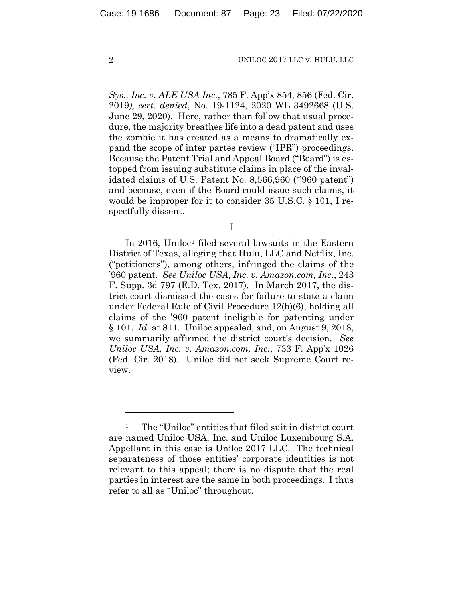*Sys., Inc. v. ALE USA Inc.*, 785 F. App'x 854, 856 (Fed. Cir. 2019*), cert. denied*, No. 19-1124, 2020 WL 3492668 (U.S. June 29, 2020). Here, rather than follow that usual procedure, the majority breathes life into a dead patent and uses the zombie it has created as a means to dramatically expand the scope of inter partes review ("IPR") proceedings. Because the Patent Trial and Appeal Board ("Board") is estopped from issuing substitute claims in place of the invalidated claims of U.S. Patent No. 8,566,960 ("'960 patent") and because, even if the Board could issue such claims, it would be improper for it to consider 35 U.S.C. § 101, I respectfully dissent.

I

In 2016, Uniloc<sup>1</sup> filed several lawsuits in the Eastern District of Texas, alleging that Hulu, LLC and Netflix, Inc. ("petitioners"), among others, infringed the claims of the '960 patent. *See Uniloc USA, Inc. v. Amazon.com, Inc.*, 243 F. Supp. 3d 797 (E.D. Tex. 2017). In March 2017, the district court dismissed the cases for failure to state a claim under Federal Rule of Civil Procedure 12(b)(6), holding all claims of the '960 patent ineligible for patenting under § 101. *Id.* at 811. Uniloc appealed, and, on August 9, 2018, we summarily affirmed the district court's decision. *See Uniloc USA, Inc. v. Amazon.com, Inc.*, 733 F. App'x 1026 (Fed. Cir. 2018). Uniloc did not seek Supreme Court review.

<sup>1</sup> The "Uniloc" entities that filed suit in district court are named Uniloc USA, Inc. and Uniloc Luxembourg S.A. Appellant in this case is Uniloc 2017 LLC. The technical separateness of those entities' corporate identities is not relevant to this appeal; there is no dispute that the real parties in interest are the same in both proceedings. I thus refer to all as "Uniloc" throughout.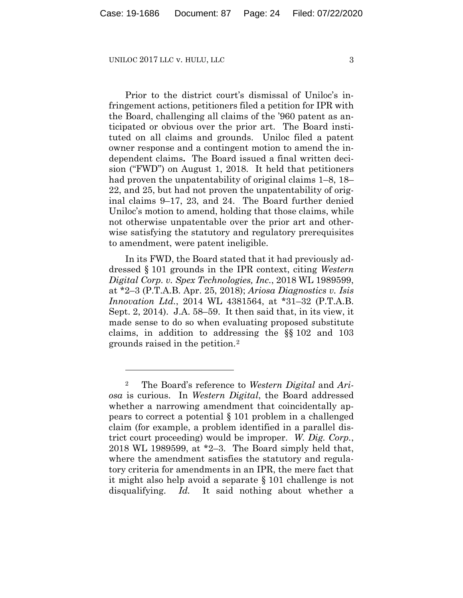Prior to the district court's dismissal of Uniloc's infringement actions, petitioners filed a petition for IPR with the Board, challenging all claims of the '960 patent as anticipated or obvious over the prior art. The Board instituted on all claims and grounds. Uniloc filed a patent owner response and a contingent motion to amend the independent claims**.** The Board issued a final written decision ("FWD") on August 1, 2018. It held that petitioners had proven the unpatentability of original claims 1–8, 18– 22, and 25, but had not proven the unpatentability of original claims 9–17, 23, and 24. The Board further denied Uniloc's motion to amend, holding that those claims, while not otherwise unpatentable over the prior art and otherwise satisfying the statutory and regulatory prerequisites to amendment, were patent ineligible.

In its FWD, the Board stated that it had previously addressed § 101 grounds in the IPR context, citing *Western Digital Corp. v. Spex Technologies, Inc.*, 2018 WL 1989599, at \*2–3 (P.T.A.B. Apr. 25, 2018); *Ariosa Diagnostics v. Isis Innovation Ltd.*, 2014 WL 4381564, at \*31–32 (P.T.A.B. Sept. 2, 2014). J.A. 58–59. It then said that, in its view, it made sense to do so when evaluating proposed substitute claims, in addition to addressing the §§ 102 and 103 grounds raised in the petition.2

<sup>2</sup> The Board's reference to *Western Digital* and *Ariosa* is curious. In *Western Digital*, the Board addressed whether a narrowing amendment that coincidentally appears to correct a potential § 101 problem in a challenged claim (for example, a problem identified in a parallel district court proceeding) would be improper. *W. Dig. Corp.*, 2018 WL 1989599, at \*2–3. The Board simply held that, where the amendment satisfies the statutory and regulatory criteria for amendments in an IPR, the mere fact that it might also help avoid a separate § 101 challenge is not disqualifying. *Id.* It said nothing about whether a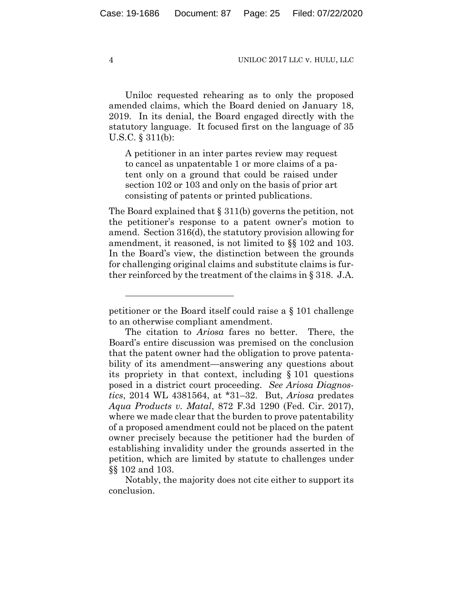Uniloc requested rehearing as to only the proposed amended claims, which the Board denied on January 18, 2019. In its denial, the Board engaged directly with the statutory language. It focused first on the language of 35 U.S.C. § 311(b):

A petitioner in an inter partes review may request to cancel as unpatentable 1 or more claims of a patent only on a ground that could be raised under section 102 or 103 and only on the basis of prior art consisting of patents or printed publications.

The Board explained that § 311(b) governs the petition, not the petitioner's response to a patent owner's motion to amend. Section 316(d), the statutory provision allowing for amendment, it reasoned, is not limited to §§ 102 and 103. In the Board's view, the distinction between the grounds for challenging original claims and substitute claims is further reinforced by the treatment of the claims in § 318. J.A.

Notably, the majority does not cite either to support its conclusion.

petitioner or the Board itself could raise a § 101 challenge to an otherwise compliant amendment.

The citation to *Ariosa* fares no better. There, the Board's entire discussion was premised on the conclusion that the patent owner had the obligation to prove patentability of its amendment—answering any questions about its propriety in that context, including § 101 questions posed in a district court proceeding. *See Ariosa Diagnostics*, 2014 WL 4381564, at \*31–32. But, *Ariosa* predates *Aqua Products v. Matal*, 872 F.3d 1290 (Fed. Cir. 2017), where we made clear that the burden to prove patentability of a proposed amendment could not be placed on the patent owner precisely because the petitioner had the burden of establishing invalidity under the grounds asserted in the petition, which are limited by statute to challenges under §§ 102 and 103.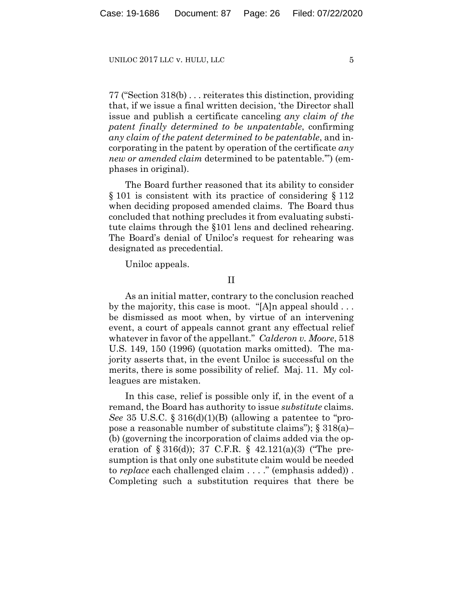77 ("Section 318(b) . . . reiterates this distinction, providing that, if we issue a final written decision, 'the Director shall issue and publish a certificate canceling *any claim of the patent finally determined to be unpatentable*, confirming *any claim of the patent determined to be patentable*, and incorporating in the patent by operation of the certificate *any new or amended claim* determined to be patentable.'") (emphases in original).

The Board further reasoned that its ability to consider § 101 is consistent with its practice of considering § 112 when deciding proposed amended claims. The Board thus concluded that nothing precludes it from evaluating substitute claims through the §101 lens and declined rehearing. The Board's denial of Uniloc's request for rehearing was designated as precedential.

Uniloc appeals.

# II

As an initial matter, contrary to the conclusion reached by the majority, this case is moot. "[A]n appeal should . . . be dismissed as moot when, by virtue of an intervening event, a court of appeals cannot grant any effectual relief whatever in favor of the appellant." *Calderon v. Moore*, 518 U.S. 149, 150 (1996) (quotation marks omitted). The majority asserts that, in the event Uniloc is successful on the merits, there is some possibility of relief. Maj. 11. My colleagues are mistaken.

In this case, relief is possible only if, in the event of a remand, the Board has authority to issue *substitute* claims. *See* 35 U.S.C. § 316(d)(1)(B) (allowing a patentee to "propose a reasonable number of substitute claims"); § 318(a)– (b) (governing the incorporation of claims added via the operation of § 316(d)); 37 C.F.R. § 42.121(a)(3) ("The presumption is that only one substitute claim would be needed to *replace* each challenged claim . . . ." (emphasis added)) . Completing such a substitution requires that there be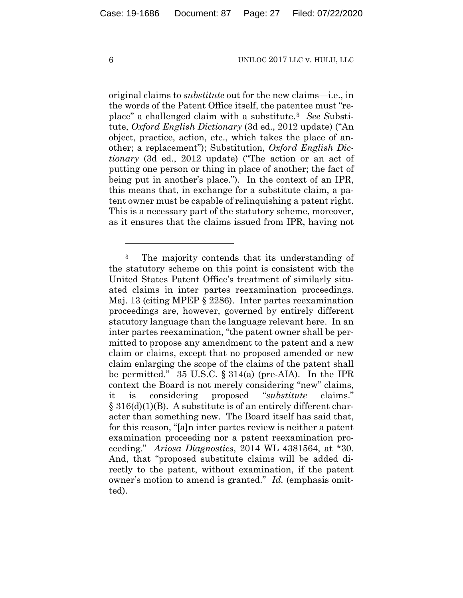original claims to *substitute* out for the new claims—i.e., in the words of the Patent Office itself, the patentee must "replace" a challenged claim with a substitute.3 *See S*ubstitute, *Oxford English Dictionary* (3d ed., 2012 update) ("An object, practice, action, etc., which takes the place of another; a replacement"); Substitution, *Oxford English Dictionary* (3d ed., 2012 update) ("The action or an act of putting one person or thing in place of another; the fact of being put in another's place."). In the context of an IPR, this means that, in exchange for a substitute claim, a patent owner must be capable of relinquishing a patent right. This is a necessary part of the statutory scheme, moreover, as it ensures that the claims issued from IPR, having not

<sup>&</sup>lt;sup>3</sup> The majority contends that its understanding of the statutory scheme on this point is consistent with the United States Patent Office's treatment of similarly situated claims in inter partes reexamination proceedings. Maj. 13 (citing MPEP § 2286). Inter partes reexamination proceedings are, however, governed by entirely different statutory language than the language relevant here. In an inter partes reexamination, "the patent owner shall be permitted to propose any amendment to the patent and a new claim or claims, except that no proposed amended or new claim enlarging the scope of the claims of the patent shall be permitted." 35 U.S.C.  $\S 314(a)$  (pre-AIA). In the IPR context the Board is not merely considering "new" claims, it is considering proposed "*substitute* claims."  $\S 316(d)(1)(B)$ . A substitute is of an entirely different character than something new. The Board itself has said that, for this reason, "[a]n inter partes review is neither a patent examination proceeding nor a patent reexamination proceeding." *Ariosa Diagnostics*, 2014 WL 4381564, at \*30. And, that "proposed substitute claims will be added directly to the patent, without examination, if the patent owner's motion to amend is granted." *Id.* (emphasis omitted).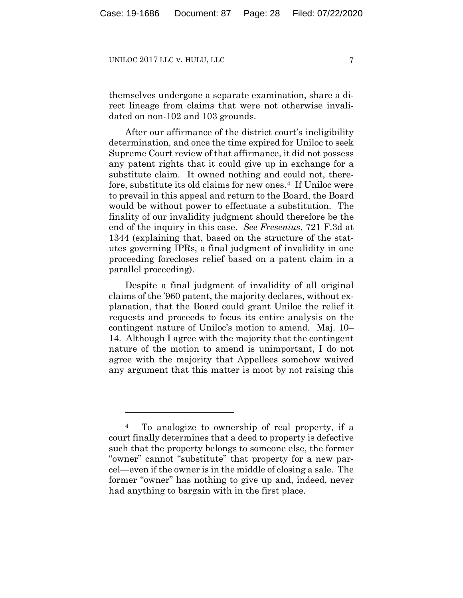themselves undergone a separate examination, share a direct lineage from claims that were not otherwise invalidated on non-102 and 103 grounds.

After our affirmance of the district court's ineligibility determination, and once the time expired for Uniloc to seek Supreme Court review of that affirmance, it did not possess any patent rights that it could give up in exchange for a substitute claim. It owned nothing and could not, therefore, substitute its old claims for new ones.<sup>4</sup> If Uniloc were to prevail in this appeal and return to the Board, the Board would be without power to effectuate a substitution. The finality of our invalidity judgment should therefore be the end of the inquiry in this case. *See Fresenius*, 721 F.3d at 1344 (explaining that, based on the structure of the statutes governing IPRs, a final judgment of invalidity in one proceeding forecloses relief based on a patent claim in a parallel proceeding).

Despite a final judgment of invalidity of all original claims of the '960 patent, the majority declares, without explanation, that the Board could grant Uniloc the relief it requests and proceeds to focus its entire analysis on the contingent nature of Uniloc's motion to amend. Maj. 10– 14. Although I agree with the majority that the contingent nature of the motion to amend is unimportant, I do not agree with the majority that Appellees somehow waived any argument that this matter is moot by not raising this

<sup>4</sup> To analogize to ownership of real property, if a court finally determines that a deed to property is defective such that the property belongs to someone else, the former "owner" cannot "substitute" that property for a new parcel—even if the owner is in the middle of closing a sale. The former "owner" has nothing to give up and, indeed, never had anything to bargain with in the first place.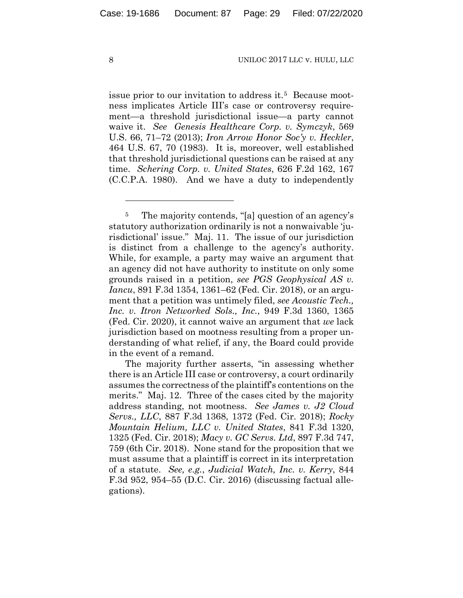issue prior to our invitation to address it.<sup>5</sup> Because mootness implicates Article III's case or controversy requirement—a threshold jurisdictional issue—a party cannot waive it. *See Genesis Healthcare Corp. v. Symczyk*, 569 U.S. 66, 71–72 (2013); *Iron Arrow Honor Soc'y v. Heckler*, 464 U.S. 67, 70 (1983). It is, moreover, well established that threshold jurisdictional questions can be raised at any time. *Schering Corp. v. United States*, 626 F.2d 162, 167 (C.C.P.A. 1980). And we have a duty to independently

<sup>5</sup> The majority contends, "[a] question of an agency's statutory authorization ordinarily is not a nonwaivable 'jurisdictional' issue." Maj. 11. The issue of our jurisdiction is distinct from a challenge to the agency's authority. While, for example, a party may waive an argument that an agency did not have authority to institute on only some grounds raised in a petition, *see PGS Geophysical AS v. Iancu*, 891 F.3d 1354, 1361–62 (Fed. Cir. 2018), or an argument that a petition was untimely filed, *see Acoustic Tech., Inc. v. Itron Networked Sols., Inc.*, 949 F.3d 1360, 1365 (Fed. Cir. 2020), it cannot waive an argument that *we* lack jurisdiction based on mootness resulting from a proper understanding of what relief, if any, the Board could provide in the event of a remand.

The majority further asserts, "in assessing whether there is an Article III case or controversy, a court ordinarily assumes the correctness of the plaintiff's contentions on the merits." Maj. 12. Three of the cases cited by the majority address standing, not mootness. *See James v. J2 Cloud Servs., LLC*, 887 F.3d 1368, 1372 (Fed. Cir. 2018); *Rocky Mountain Helium, LLC v. United States*, 841 F.3d 1320, 1325 (Fed. Cir. 2018); *Macy v. GC Servs. Ltd*, 897 F.3d 747, 759 (6th Cir. 2018). None stand for the proposition that we must assume that a plaintiff is correct in its interpretation of a statute. *See, e.g.*, *Judicial Watch, Inc. v. Kerry*, 844 F.3d 952, 954–55 (D.C. Cir. 2016) (discussing factual allegations).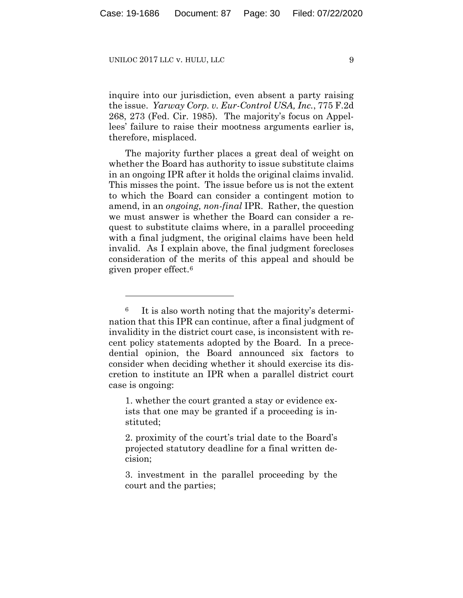inquire into our jurisdiction, even absent a party raising the issue. *Yarway Corp. v. Eur-Control USA, Inc.*, 775 F.2d 268, 273 (Fed. Cir. 1985). The majority's focus on Appellees' failure to raise their mootness arguments earlier is, therefore, misplaced.

The majority further places a great deal of weight on whether the Board has authority to issue substitute claims in an ongoing IPR after it holds the original claims invalid. This misses the point. The issue before us is not the extent to which the Board can consider a contingent motion to amend, in an *ongoing, non-final* IPR. Rather, the question we must answer is whether the Board can consider a request to substitute claims where, in a parallel proceeding with a final judgment, the original claims have been held invalid. As I explain above, the final judgment forecloses consideration of the merits of this appeal and should be given proper effect.6

1. whether the court granted a stay or evidence exists that one may be granted if a proceeding is instituted;

2. proximity of the court's trial date to the Board's projected statutory deadline for a final written decision;

3. investment in the parallel proceeding by the court and the parties;

<sup>6</sup> It is also worth noting that the majority's determination that this IPR can continue, after a final judgment of invalidity in the district court case, is inconsistent with recent policy statements adopted by the Board. In a precedential opinion, the Board announced six factors to consider when deciding whether it should exercise its discretion to institute an IPR when a parallel district court case is ongoing: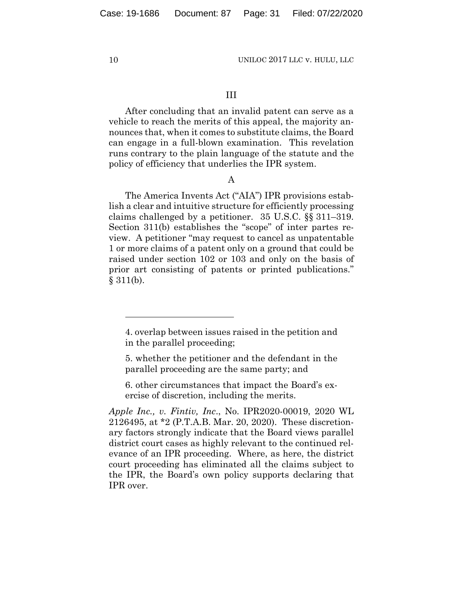## III

After concluding that an invalid patent can serve as a vehicle to reach the merits of this appeal, the majority announces that, when it comes to substitute claims, the Board can engage in a full-blown examination. This revelation runs contrary to the plain language of the statute and the policy of efficiency that underlies the IPR system.

## A

The America Invents Act ("AIA") IPR provisions establish a clear and intuitive structure for efficiently processing claims challenged by a petitioner. 35 U.S.C. §§ 311–319. Section 311(b) establishes the "scope" of inter partes review. A petitioner "may request to cancel as unpatentable 1 or more claims of a patent only on a ground that could be raised under section 102 or 103 and only on the basis of prior art consisting of patents or printed publications."  $§$  311(b).

<sup>4.</sup> overlap between issues raised in the petition and in the parallel proceeding;

<sup>5.</sup> whether the petitioner and the defendant in the parallel proceeding are the same party; and

<sup>6.</sup> other circumstances that impact the Board's exercise of discretion, including the merits.

*Apple Inc., v. Fintiv, Inc*., No. IPR2020-00019, 2020 WL 2126495, at \*2 (P.T.A.B. Mar. 20, 2020). These discretionary factors strongly indicate that the Board views parallel district court cases as highly relevant to the continued relevance of an IPR proceeding. Where, as here, the district court proceeding has eliminated all the claims subject to the IPR, the Board's own policy supports declaring that IPR over.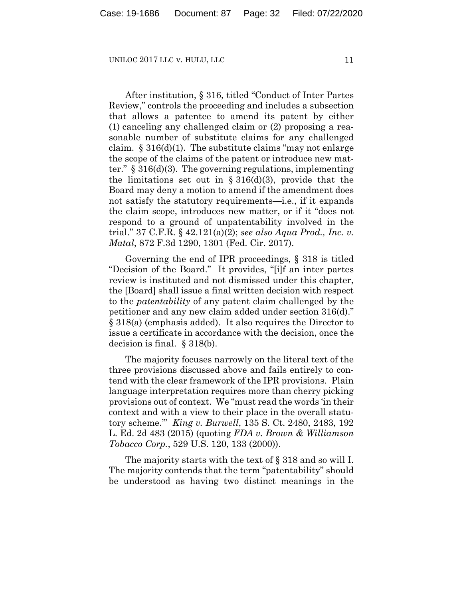After institution, § 316, titled "Conduct of Inter Partes Review," controls the proceeding and includes a subsection that allows a patentee to amend its patent by either (1) canceling any challenged claim or (2) proposing a reasonable number of substitute claims for any challenged claim.  $\S 316(d)(1)$ . The substitute claims "may not enlarge" the scope of the claims of the patent or introduce new matter." § 316(d)(3). The governing regulations, implementing the limitations set out in § 316(d)(3), provide that the Board may deny a motion to amend if the amendment does not satisfy the statutory requirements—i.e., if it expands the claim scope, introduces new matter, or if it "does not respond to a ground of unpatentability involved in the trial." 37 C.F.R. § 42.121(a)(2); *see also Aqua Prod., Inc. v. Matal*, 872 F.3d 1290, 1301 (Fed. Cir. 2017).

Governing the end of IPR proceedings, § 318 is titled "Decision of the Board." It provides, "[i]f an inter partes review is instituted and not dismissed under this chapter, the [Board] shall issue a final written decision with respect to the *patentability* of any patent claim challenged by the petitioner and any new claim added under section 316(d)." § 318(a) (emphasis added). It also requires the Director to issue a certificate in accordance with the decision, once the decision is final. § 318(b).

The majority focuses narrowly on the literal text of the three provisions discussed above and fails entirely to contend with the clear framework of the IPR provisions. Plain language interpretation requires more than cherry picking provisions out of context. We "must read the words 'in their context and with a view to their place in the overall statutory scheme.'" *King v. Burwell*, 135 S. Ct. 2480, 2483, 192 L. Ed. 2d 483 (2015) (quoting *FDA v. Brown & Williamson Tobacco Corp.*, 529 U.S. 120, 133 (2000)).

The majority starts with the text of § 318 and so will I. The majority contends that the term "patentability" should be understood as having two distinct meanings in the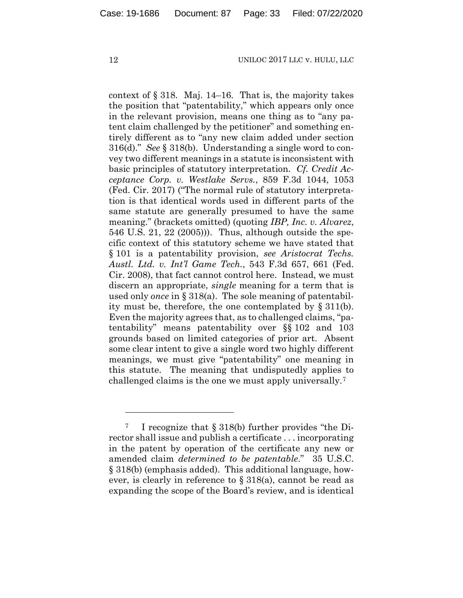context of § 318. Maj. 14–16. That is, the majority takes the position that "patentability," which appears only once in the relevant provision, means one thing as to "any patent claim challenged by the petitioner" and something entirely different as to "any new claim added under section 316(d)." *See* § 318(b). Understanding a single word to convey two different meanings in a statute is inconsistent with basic principles of statutory interpretation. *Cf. Credit Acceptance Corp. v. Westlake Servs.*, 859 F.3d 1044, 1053 (Fed. Cir. 2017) ("The normal rule of statutory interpretation is that identical words used in different parts of the same statute are generally presumed to have the same meaning." (brackets omitted) (quoting *IBP, Inc. v. Alvarez*, 546 U.S. 21, 22 (2005))). Thus, although outside the specific context of this statutory scheme we have stated that § 101 is a patentability provision, *see Aristocrat Techs. Austl. Ltd. v. Int'l Game Tech.*, 543 F.3d 657, 661 (Fed. Cir. 2008), that fact cannot control here. Instead, we must discern an appropriate, *single* meaning for a term that is used only *once* in § 318(a). The sole meaning of patentability must be, therefore, the one contemplated by § 311(b). Even the majority agrees that, as to challenged claims, "patentability" means patentability over §§ 102 and 103 grounds based on limited categories of prior art. Absent some clear intent to give a single word two highly different meanings, we must give "patentability" one meaning in this statute. The meaning that undisputedly applies to challenged claims is the one we must apply universally.7

<sup>7</sup> I recognize that § 318(b) further provides "the Director shall issue and publish a certificate . . . incorporating in the patent by operation of the certificate any new or amended claim *determined to be patentable*." 35 U.S.C. § 318(b) (emphasis added). This additional language, however, is clearly in reference to § 318(a), cannot be read as expanding the scope of the Board's review, and is identical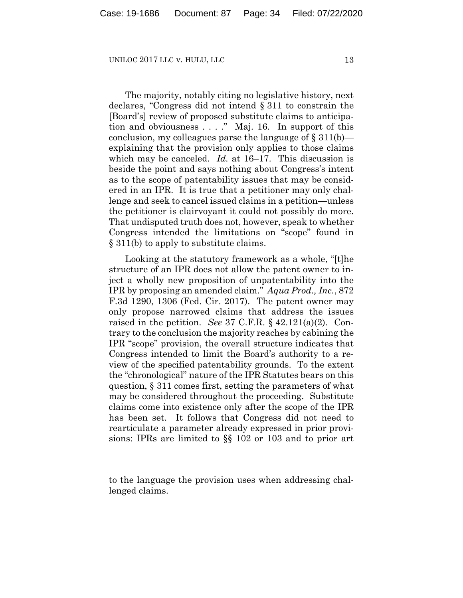The majority, notably citing no legislative history, next declares, "Congress did not intend § 311 to constrain the [Board's] review of proposed substitute claims to anticipation and obviousness . . . ." Maj. 16. In support of this conclusion, my colleagues parse the language of  $\S 311(b)$  explaining that the provision only applies to those claims which may be canceled. *Id.* at 16–17. This discussion is beside the point and says nothing about Congress's intent as to the scope of patentability issues that may be considered in an IPR. It is true that a petitioner may only challenge and seek to cancel issued claims in a petition—unless the petitioner is clairvoyant it could not possibly do more. That undisputed truth does not, however, speak to whether Congress intended the limitations on "scope" found in § 311(b) to apply to substitute claims.

Looking at the statutory framework as a whole, "[t]he structure of an IPR does not allow the patent owner to inject a wholly new proposition of unpatentability into the IPR by proposing an amended claim." *Aqua Prod., Inc.*, 872 F.3d 1290, 1306 (Fed. Cir. 2017). The patent owner may only propose narrowed claims that address the issues raised in the petition. *See* 37 C.F.R. § 42.121(a)(2). Contrary to the conclusion the majority reaches by cabining the IPR "scope" provision, the overall structure indicates that Congress intended to limit the Board's authority to a review of the specified patentability grounds. To the extent the "chronological" nature of the IPR Statutes bears on this question, § 311 comes first, setting the parameters of what may be considered throughout the proceeding. Substitute claims come into existence only after the scope of the IPR has been set. It follows that Congress did not need to rearticulate a parameter already expressed in prior provisions: IPRs are limited to §§ 102 or 103 and to prior art

to the language the provision uses when addressing challenged claims.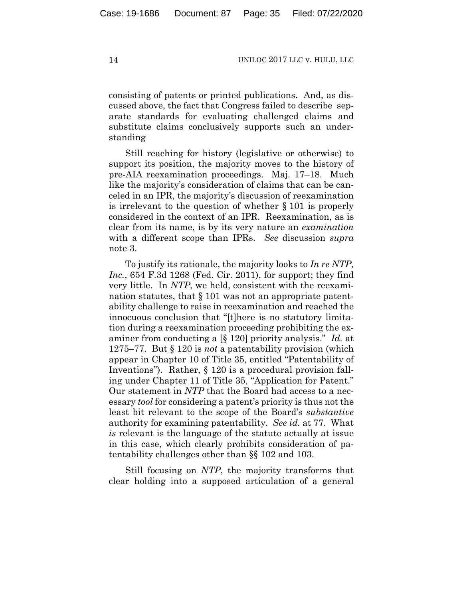consisting of patents or printed publications. And, as discussed above, the fact that Congress failed to describe separate standards for evaluating challenged claims and substitute claims conclusively supports such an understanding

Still reaching for history (legislative or otherwise) to support its position, the majority moves to the history of pre-AIA reexamination proceedings. Maj. 17–18. Much like the majority's consideration of claims that can be canceled in an IPR, the majority's discussion of reexamination is irrelevant to the question of whether § 101 is properly considered in the context of an IPR. Reexamination, as is clear from its name, is by its very nature an *examination* with a different scope than IPRs. *See* discussion *supra* note 3.

To justify its rationale, the majority looks to *In re NTP, Inc.*, 654 F.3d 1268 (Fed. Cir. 2011), for support; they find very little. In *NTP*, we held, consistent with the reexamination statutes, that § 101 was not an appropriate patentability challenge to raise in reexamination and reached the innocuous conclusion that "[t]here is no statutory limitation during a reexamination proceeding prohibiting the examiner from conducting a [§ 120] priority analysis." *Id.* at 1275–77. But § 120 is *not* a patentability provision (which appear in Chapter 10 of Title 35, entitled "Patentability of Inventions"). Rather, § 120 is a procedural provision falling under Chapter 11 of Title 35, "Application for Patent." Our statement in *NTP* that the Board had access to a necessary *tool* for considering a patent's priority is thus not the least bit relevant to the scope of the Board's *substantive* authority for examining patentability. *See id.* at 77. What *is* relevant is the language of the statute actually at issue in this case, which clearly prohibits consideration of patentability challenges other than §§ 102 and 103.

Still focusing on *NTP*, the majority transforms that clear holding into a supposed articulation of a general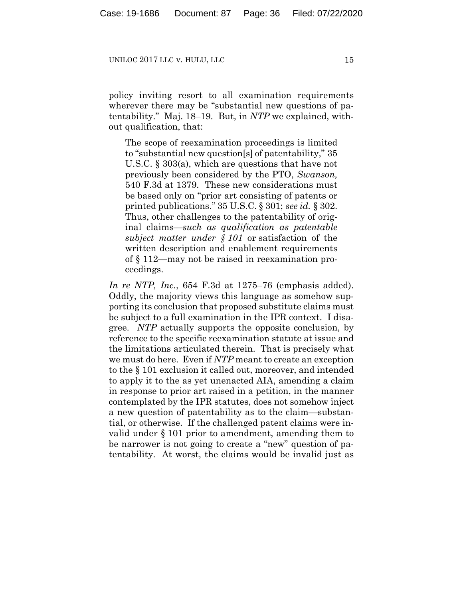policy inviting resort to all examination requirements wherever there may be "substantial new questions of patentability." Maj. 18–19. But, in *NTP* we explained, without qualification, that:

The scope of reexamination proceedings is limited to "substantial new question[s] of patentability," 35 U.S.C. § 303(a), which are questions that have not previously been considered by the PTO, *Swanson,* 540 F.3d at 1379. These new considerations must be based only on "prior art consisting of patents or printed publications." 35 U.S.C. § 301; *see id.* § 302. Thus, other challenges to the patentability of original claims—*such as qualification as patentable subject matter under § 101* or satisfaction of the written description and enablement requirements of § 112—may not be raised in reexamination proceedings.

*In re NTP, Inc.*, 654 F.3d at 1275–76 (emphasis added). Oddly, the majority views this language as somehow supporting its conclusion that proposed substitute claims must be subject to a full examination in the IPR context. I disagree. *NTP* actually supports the opposite conclusion, by reference to the specific reexamination statute at issue and the limitations articulated therein. That is precisely what we must do here. Even if *NTP* meant to create an exception to the § 101 exclusion it called out, moreover, and intended to apply it to the as yet unenacted AIA, amending a claim in response to prior art raised in a petition, in the manner contemplated by the IPR statutes, does not somehow inject a new question of patentability as to the claim—substantial, or otherwise. If the challenged patent claims were invalid under § 101 prior to amendment, amending them to be narrower is not going to create a "new" question of patentability. At worst, the claims would be invalid just as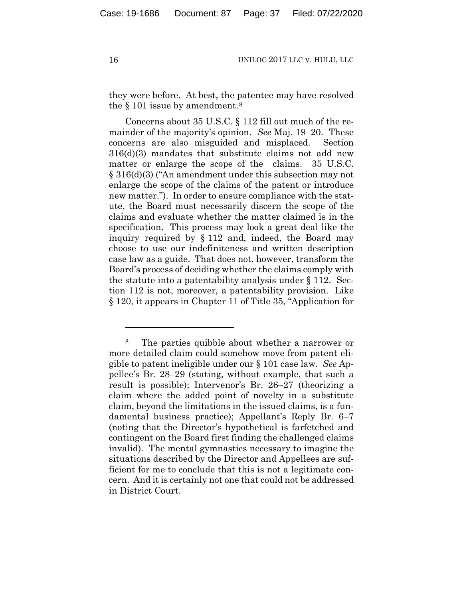they were before. At best, the patentee may have resolved the § 101 issue by amendment.8

Concerns about 35 U.S.C. § 112 fill out much of the remainder of the majority's opinion. *See* Maj. 19–20. These concerns are also misguided and misplaced. Section 316(d)(3) mandates that substitute claims not add new matter or enlarge the scope of the claims. 35 U.S.C. § 316(d)(3) ("An amendment under this subsection may not enlarge the scope of the claims of the patent or introduce new matter."). In order to ensure compliance with the statute, the Board must necessarily discern the scope of the claims and evaluate whether the matter claimed is in the specification. This process may look a great deal like the inquiry required by § 112 and, indeed, the Board may choose to use our indefiniteness and written description case law as a guide. That does not, however, transform the Board's process of deciding whether the claims comply with the statute into a patentability analysis under § 112. Section 112 is not, moreover, a patentability provision. Like § 120, it appears in Chapter 11 of Title 35, "Application for

<sup>8</sup> The parties quibble about whether a narrower or more detailed claim could somehow move from patent eligible to patent ineligible under our § 101 case law. *See* Appellee's Br. 28–29 (stating, without example, that such a result is possible); Intervenor's Br. 26–27 (theorizing a claim where the added point of novelty in a substitute claim, beyond the limitations in the issued claims, is a fundamental business practice); Appellant's Reply Br. 6–7 (noting that the Director's hypothetical is farfetched and contingent on the Board first finding the challenged claims invalid). The mental gymnastics necessary to imagine the situations described by the Director and Appellees are sufficient for me to conclude that this is not a legitimate concern. And it is certainly not one that could not be addressed in District Court.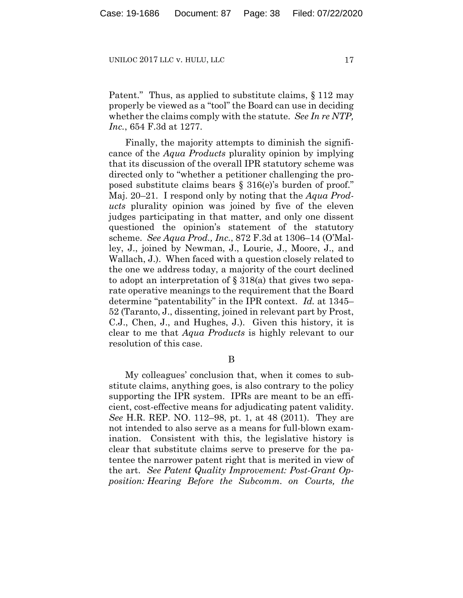Patent." Thus, as applied to substitute claims,  $\S 112$  may properly be viewed as a "tool" the Board can use in deciding whether the claims comply with the statute. *See In re NTP, Inc.*, 654 F.3d at 1277.

Finally, the majority attempts to diminish the significance of the *Aqua Products* plurality opinion by implying that its discussion of the overall IPR statutory scheme was directed only to "whether a petitioner challenging the proposed substitute claims bears § 316(e)'s burden of proof." Maj. 20–21. I respond only by noting that the *Aqua Products* plurality opinion was joined by five of the eleven judges participating in that matter, and only one dissent questioned the opinion's statement of the statutory scheme. *See Aqua Prod., Inc.*, 872 F.3d at 1306–14 (O'Malley, J., joined by Newman, J., Lourie, J., Moore, J., and Wallach, J.). When faced with a question closely related to the one we address today, a majority of the court declined to adopt an interpretation of § 318(a) that gives two separate operative meanings to the requirement that the Board determine "patentability" in the IPR context. *Id.* at 1345– 52 (Taranto, J., dissenting, joined in relevant part by Prost, C.J., Chen, J., and Hughes, J.). Given this history, it is clear to me that *Aqua Products* is highly relevant to our resolution of this case.

B

My colleagues' conclusion that, when it comes to substitute claims, anything goes, is also contrary to the policy supporting the IPR system. IPRs are meant to be an efficient, cost-effective means for adjudicating patent validity. *See* H.R. REP. NO. 112–98, pt. 1, at 48 (2011). They are not intended to also serve as a means for full-blown examination. Consistent with this, the legislative history is clear that substitute claims serve to preserve for the patentee the narrower patent right that is merited in view of the art. *See Patent Quality Improvement: Post-Grant Opposition: Hearing Before the Subcomm. on Courts, the*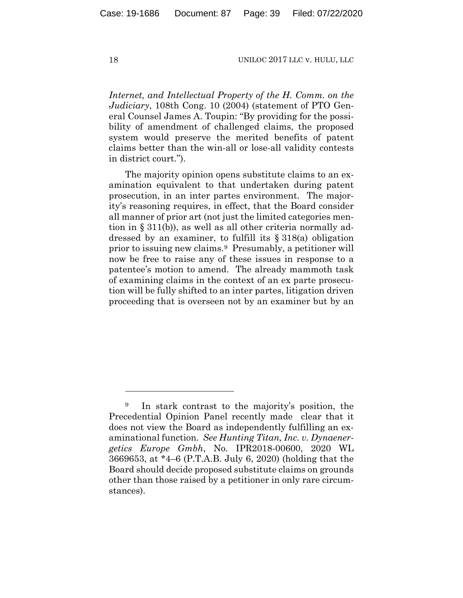*Internet, and Intellectual Property of the H. Comm. on the Judiciary*, 108th Cong. 10 (2004) (statement of PTO General Counsel James A. Toupin: "By providing for the possibility of amendment of challenged claims, the proposed system would preserve the merited benefits of patent claims better than the win-all or lose-all validity contests in district court.").

The majority opinion opens substitute claims to an examination equivalent to that undertaken during patent prosecution, in an inter partes environment. The majority's reasoning requires, in effect, that the Board consider all manner of prior art (not just the limited categories mention in § 311(b)), as well as all other criteria normally addressed by an examiner, to fulfill its § 318(a) obligation prior to issuing new claims.9 Presumably, a petitioner will now be free to raise any of these issues in response to a patentee's motion to amend. The already mammoth task of examining claims in the context of an ex parte prosecution will be fully shifted to an inter partes, litigation driven proceeding that is overseen not by an examiner but by an

<sup>9</sup> In stark contrast to the majority's position, the Precedential Opinion Panel recently made clear that it does not view the Board as independently fulfilling an examinational function. *See Hunting Titan, Inc. v. Dynaenergetics Europe Gmbh*, No. IPR2018-00600, 2020 WL 3669653, at \*4–6 (P.T.A.B. July 6, 2020) (holding that the Board should decide proposed substitute claims on grounds other than those raised by a petitioner in only rare circumstances).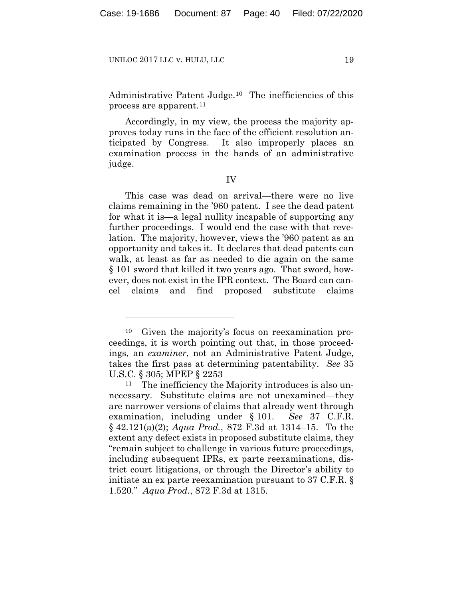Administrative Patent Judge.<sup>10</sup> The inefficiencies of this process are apparent.<sup>11</sup>

Accordingly, in my view, the process the majority approves today runs in the face of the efficient resolution anticipated by Congress. It also improperly places an examination process in the hands of an administrative judge.

IV

This case was dead on arrival—there were no live claims remaining in the '960 patent. I see the dead patent for what it is—a legal nullity incapable of supporting any further proceedings. I would end the case with that revelation. The majority, however, views the '960 patent as an opportunity and takes it. It declares that dead patents can walk, at least as far as needed to die again on the same § 101 sword that killed it two years ago. That sword, however, does not exist in the IPR context. The Board can cancel claims and find proposed substitute claims

<sup>10</sup> Given the majority's focus on reexamination proceedings, it is worth pointing out that, in those proceedings, an *examiner*, not an Administrative Patent Judge, takes the first pass at determining patentability. *See* 35 U.S.C. § 305; MPEP § 2253

<sup>&</sup>lt;sup>11</sup> The inefficiency the Majority introduces is also unnecessary. Substitute claims are not unexamined—they are narrower versions of claims that already went through examination, including under § 101. *See* 37 C.F.R. § 42.121(a)(2); *Aqua Prod.*, 872 F.3d at 1314–15. To the extent any defect exists in proposed substitute claims, they "remain subject to challenge in various future proceedings, including subsequent IPRs, ex parte reexaminations, district court litigations, or through the Director's ability to initiate an ex parte reexamination pursuant to 37 C.F.R. § 1.520." *Aqua Prod.*, 872 F.3d at 1315.